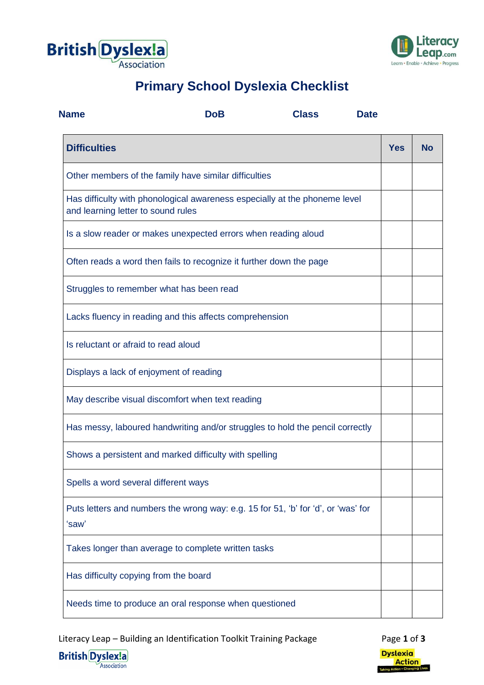



## **Primary School Dyslexia Checklist**

| <b>Name</b>                                                                                                      | <b>DoB</b> | <b>Class</b> | <b>Date</b> |            |           |
|------------------------------------------------------------------------------------------------------------------|------------|--------------|-------------|------------|-----------|
| <b>Difficulties</b>                                                                                              |            |              |             | <b>Yes</b> | <b>No</b> |
| Other members of the family have similar difficulties                                                            |            |              |             |            |           |
| Has difficulty with phonological awareness especially at the phoneme level<br>and learning letter to sound rules |            |              |             |            |           |
| Is a slow reader or makes unexpected errors when reading aloud                                                   |            |              |             |            |           |
| Often reads a word then fails to recognize it further down the page                                              |            |              |             |            |           |
| Struggles to remember what has been read                                                                         |            |              |             |            |           |
| Lacks fluency in reading and this affects comprehension                                                          |            |              |             |            |           |
| Is reluctant or afraid to read aloud                                                                             |            |              |             |            |           |
| Displays a lack of enjoyment of reading                                                                          |            |              |             |            |           |
| May describe visual discomfort when text reading                                                                 |            |              |             |            |           |
| Has messy, laboured handwriting and/or struggles to hold the pencil correctly                                    |            |              |             |            |           |
| Shows a persistent and marked difficulty with spelling                                                           |            |              |             |            |           |
| Spells a word several different ways                                                                             |            |              |             |            |           |
| Puts letters and numbers the wrong way: e.g. 15 for 51, 'b' for 'd', or 'was' for<br>'saw'                       |            |              |             |            |           |
| Takes longer than average to complete written tasks                                                              |            |              |             |            |           |
| Has difficulty copying from the board                                                                            |            |              |             |            |           |
| Needs time to produce an oral response when questioned                                                           |            |              |             |            |           |

Literacy Leap – Building an Identification Toolkit Training Package Page 1 of 3



**British Dyslex!a**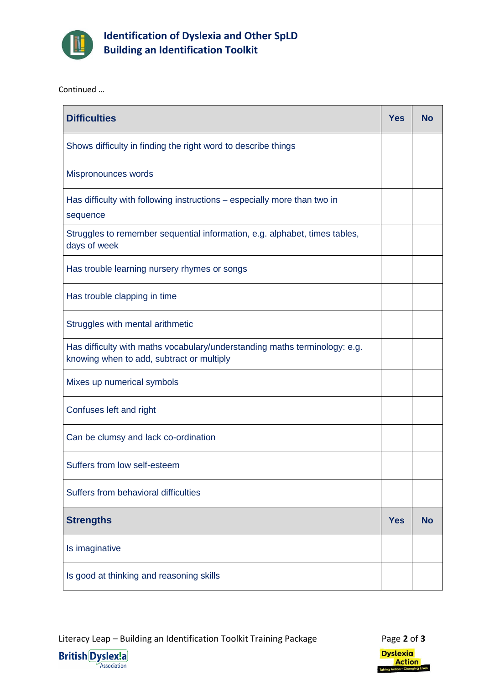

**Identification of Dyslexia and Other SpLD Building an Identification Toolkit**

Continued …

| <b>Difficulties</b>                                                                                                     | <b>Yes</b> | <b>No</b> |
|-------------------------------------------------------------------------------------------------------------------------|------------|-----------|
| Shows difficulty in finding the right word to describe things                                                           |            |           |
| Mispronounces words                                                                                                     |            |           |
| Has difficulty with following instructions - especially more than two in<br>sequence                                    |            |           |
| Struggles to remember sequential information, e.g. alphabet, times tables,<br>days of week                              |            |           |
| Has trouble learning nursery rhymes or songs                                                                            |            |           |
| Has trouble clapping in time                                                                                            |            |           |
| Struggles with mental arithmetic                                                                                        |            |           |
| Has difficulty with maths vocabulary/understanding maths terminology: e.g.<br>knowing when to add, subtract or multiply |            |           |
| Mixes up numerical symbols                                                                                              |            |           |
| Confuses left and right                                                                                                 |            |           |
| Can be clumsy and lack co-ordination                                                                                    |            |           |
| Suffers from low self-esteem                                                                                            |            |           |
| Suffers from behavioral difficulties                                                                                    |            |           |
| <b>Strengths</b>                                                                                                        | <b>Yes</b> | <b>No</b> |
| Is imaginative                                                                                                          |            |           |
| Is good at thinking and reasoning skills                                                                                |            |           |

Literacy Leap – Building an Identification Toolkit Training Package Page 2 of 3